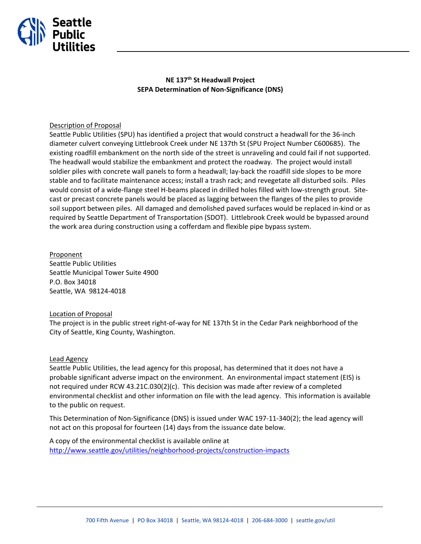

## **NE 137th St Headwall Project SEPA Determination of Non-Significance (DNS)**

### Description of Proposal

Seattle Public Utilities (SPU) has identified a project that would construct a headwall for the 36-inch diameter culvert conveying Littlebrook Creek under NE 137th St (SPU Project Number C600685). The existing roadfill embankment on the north side of the street is unraveling and could fail if not supported. The headwall would stabilize the embankment and protect the roadway. The project would install soldier piles with concrete wall panels to form a headwall; lay-back the roadfill side slopes to be more stable and to facilitate maintenance access; install a trash rack; and revegetate all disturbed soils. Piles would consist of a wide-flange steel H-beams placed in drilled holes filled with low-strength grout. Sitecast or precast concrete panels would be placed as lagging between the flanges of the piles to provide soil support between piles. All damaged and demolished paved surfaces would be replaced in-kind or as required by Seattle Department of Transportation (SDOT). Littlebrook Creek would be bypassed around the work area during construction using a cofferdam and flexible pipe bypass system.

Proponent Seattle Public Utilities Seattle Municipal Tower Suite 4900 P.O. Box 34018 Seattle, WA 98124-4018

#### Location of Proposal

The project is in the public street right-of-way for NE 137th St in the Cedar Park neighborhood of the City of Seattle, King County, Washington.

#### Lead Agency

Seattle Public Utilities, the lead agency for this proposal, has determined that it does not have a probable significant adverse impact on the environment. An environmental impact statement (EIS) is not required under RCW 43.21C.030(2)(c). This decision was made after review of a completed environmental checklist and other information on file with the lead agency. This information is available to the public on request.

This Determination of Non-Significance (DNS) is issued under WAC 197-11-340(2); the lead agency will not act on this proposal for fourteen (14) days from the issuance date below.

A copy of the environmental checklist is available online at <http://www.seattle.gov/utilities/neighborhood-projects/construction-impacts>